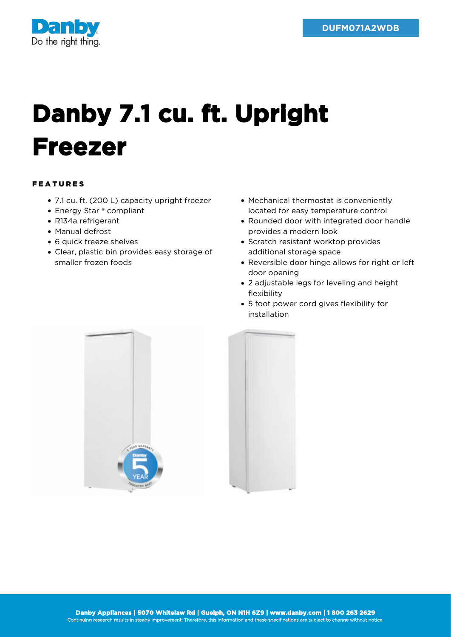

## **Danby 7.1 cu. ft. Upright Freezer**

## FEATURES

- 7.1 cu. ft. (200 L) capacity upright freezer
- Energy Star ® compliant
- R134a refrigerant
- Manual defrost
- 6 quick freeze shelves
- Clear, plastic bin provides easy storage of smaller frozen foods
- Mechanical thermostat is conveniently located for easy temperature control
- Rounded door with integrated door handle provides a modern look
- Scratch resistant worktop provides additional storage space
- Reversible door hinge allows for right or left door opening
- 2 adjustable legs for leveling and height flexibility
- 5 foot power cord gives flexibility for installation